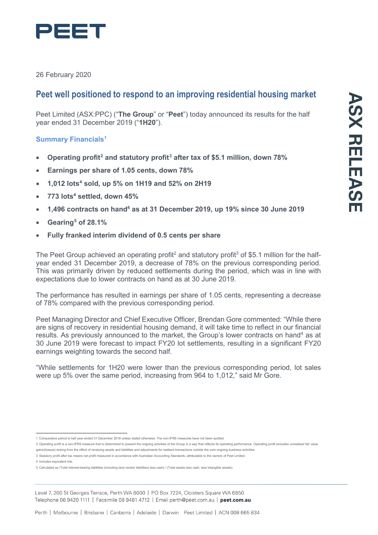

26 February 2020

# **Peet well positioned to respond to an improving residential housing market**

Peet Limited (ASX:PPC) ("**The Group**" or "**Peet**") today announced its results for the half year ended 31 December 2019 ("**1H20**").

# **Summary Financials[1](#page-0-0)**

- **Operating profit[2](#page-0-1) and statutory profit[3](#page-0-2) after tax of \$5.1 million, down 78%**
- **Earnings per share of 1.05 cents, down 78%**
- **1,012 lot[s4](#page-0-3) sold, up 5% on 1H19 and 52% on 2H19**
- **773 lots4 settled, down 45%**
- **1,496 contracts on hand4 as at 31 December 2019, up 19% since 30 June 2019**
- **Gearing[5](#page-0-4) of 28.1%**
- **Fully franked interim dividend of 0.5 cents per share**

The Peet Group achieved an operating profit<sup>2</sup> and statutory profit<sup>3</sup> of \$5.1 million for the halfyear ended 31 December 2019, a decrease of 78% on the previous corresponding period. This was primarily driven by reduced settlements during the period, which was in line with expectations due to lower contracts on hand as at 30 June 2019.

The performance has resulted in earnings per share of 1.05 cents, representing a decrease of 78% compared with the previous corresponding period.

Peet Managing Director and Chief Executive Officer, Brendan Gore commented: "While there are signs of recovery in residential housing demand, it will take time to reflect in our financial results. As previously announced to the market, the Group's lower contracts on hand<sup>4</sup> as at 30 June 2019 were forecast to impact FY20 lot settlements, resulting in a significant FY20 earnings weighting towards the second half.

"While settlements for 1H20 were lower than the previous corresponding period, lot sales were up 5% over the same period, increasing from 964 to 1,012," said Mr Gore.

- <span id="page-0-2"></span>3 Statutory profit after tax means net profit measured in accordance with Australian Accounting Standards, attributable to the owners of Peet Limited.
- 4 Includes equivalent lots.

<sup>1</sup> Comparative period is half year ended 31 December 2018 unless stated otherwise. The non-IFRS measures have not been audited.

<span id="page-0-1"></span><span id="page-0-0"></span><sup>2</sup> Operating profit is a non-IFRS measure that is determined to present the ongoing activities of the Group in a way that reflects its operating performance. Operating profit excludes unrealised fair value gains/(losses) arising from the effect of revaluing assets and liabilities and adjustments for realised transactions outside the core ongoing business activities.

<span id="page-0-4"></span><span id="page-0-3"></span><sup>5</sup> Calculated as (Total interest-bearing liabilities (including land vendor liabilities) less cash) / (Total assets less cash, less intangible assets).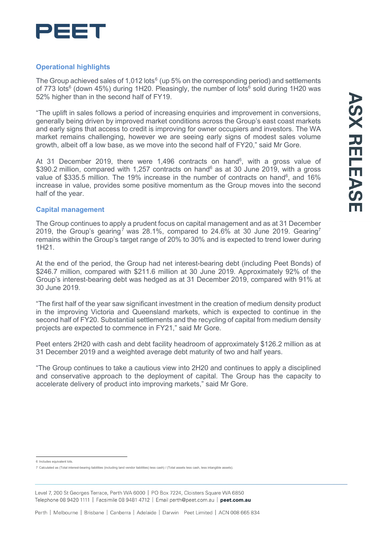

## **Operational highlights**

The Group achieved sales of 1,012 lots $6$  (up 5% on the corresponding period) and settlements of 773 lots<sup>6</sup> (down 45%) during 1H20. Pleasingly, the number of lots<sup>6</sup> sold during 1H20 was 52% higher than in the second half of FY19.

"The uplift in sales follows a period of increasing enquiries and improvement in conversions, generally being driven by improved market conditions across the Group's east coast markets and early signs that access to credit is improving for owner occupiers and investors. The WA market remains challenging, however we are seeing early signs of modest sales volume growth, albeit off a low base, as we move into the second half of FY20," said Mr Gore.

At 31 December 2019, there were 1,496 contracts on hand<sup>6</sup>, with a gross value of \$390.2 million, compared with 1,257 contracts on hand<sup>6</sup> as at 30 June 2019, with a gross value of \$335.5 million. The 19% increase in the number of contracts on hand $^6$ , and 16%  $\,$ increase in value, provides some positive momentum as the Group moves into the second half of the year.

### **Capital management**

The Group continues to apply a prudent focus on capital management and as at 31 December 2019, the Group's gearing<sup>[7](#page-1-1)</sup> was 28.1%, compared to 24.6% at 30 June 2019. Gearing<sup>7</sup> remains within the Group's target range of 20% to 30% and is expected to trend lower during 1H21.

At the end of the period, the Group had net interest-bearing debt (including Peet Bonds) of \$246.7 million, compared with \$211.6 million at 30 June 2019. Approximately 92% of the Group's interest-bearing debt was hedged as at 31 December 2019, compared with 91% at 30 June 2019.

"The first half of the year saw significant investment in the creation of medium density product in the improving Victoria and Queensland markets, which is expected to continue in the second half of FY20. Substantial settlements and the recycling of capital from medium density projects are expected to commence in FY21," said Mr Gore.

Peet enters 2H20 with cash and debt facility headroom of approximately \$126.2 million as at 31 December 2019 and a weighted average debt maturity of two and half years.

"The Group continues to take a cautious view into 2H20 and continues to apply a disciplined and conservative approach to the deployment of capital. The Group has the capacity to accelerate delivery of product into improving markets," said Mr Gore.

Level 7, 200 St Georges Terrace, Perth WA 6000 | PO Box 7224, Cloisters Square WA 6850 Telephone 08 9420 1111 | Facsimile 08 9481 4712 | Email perth@peet.com.au | peet.com.au

<span id="page-1-0"></span><sup>6</sup> Includes equivalent lots.

<span id="page-1-1"></span><sup>7</sup> Calculated as (Total interest-bearing liabilities (including land vendor liabilities) less cash) / (Total assets less cash, less intangible assets).